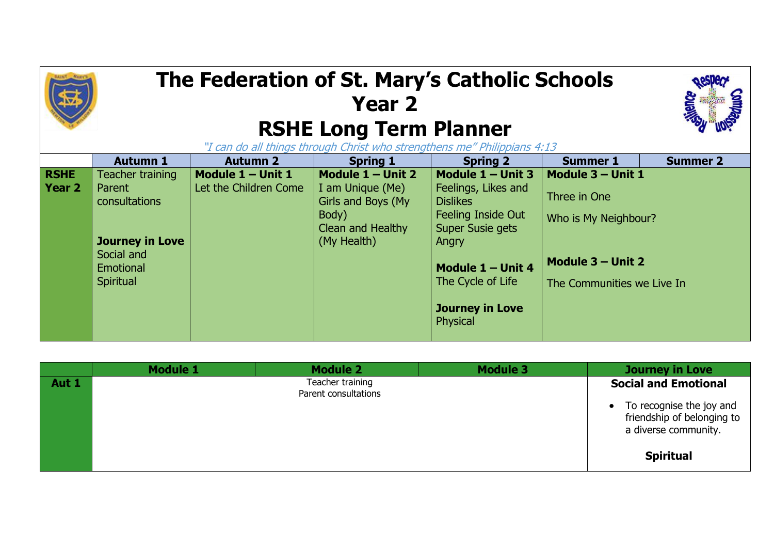## **The Federation of St. Mary's Catholic Schools Year 2 RSHE Long Term Planner** "I can do all things through Christ who strengthens me" Philippians 4:13

|               | <b>Autumn 1</b>                                                | <b>Autumn 2</b>       | <b>Spring 1</b>                                                      | <b>Spring 2</b>                                                                       | <b>Summer 1</b>                                 | <b>Summer 2</b> |
|---------------|----------------------------------------------------------------|-----------------------|----------------------------------------------------------------------|---------------------------------------------------------------------------------------|-------------------------------------------------|-----------------|
| <b>RSHE</b>   | Teacher training                                               | Module $1 -$ Unit 1   | Module $1 -$ Unit 2                                                  | Module 1 - Unit 3                                                                     | Module 3 - Unit 1                               |                 |
| <b>Year 2</b> | Parent<br>consultations                                        | Let the Children Come | I am Unique (Me)<br>Girls and Boys (My<br>Body)<br>Clean and Healthy | Feelings, Likes and<br><b>Dislikes</b><br>Feeling Inside Out<br>Super Susie gets      | Three in One<br>Who is My Neighbour?            |                 |
|               | <b>Journey in Love</b><br>Social and<br>Emotional<br>Spiritual |                       | (My Health)                                                          | Angry<br>Module 1 - Unit 4<br>The Cycle of Life<br><b>Journey in Love</b><br>Physical | Module 3 - Unit 2<br>The Communities we Live In |                 |

|       | <b>Module 1</b> | <b>Module 2</b>                          | <b>Module 3</b> | <b>Journey in Love</b>                                                         |
|-------|-----------------|------------------------------------------|-----------------|--------------------------------------------------------------------------------|
| Aut 1 |                 | Teacher training<br>Parent consultations |                 | <b>Social and Emotional</b>                                                    |
|       |                 |                                          |                 | To recognise the joy and<br>friendship of belonging to<br>a diverse community. |
|       |                 |                                          |                 | <b>Spiritual</b>                                                               |

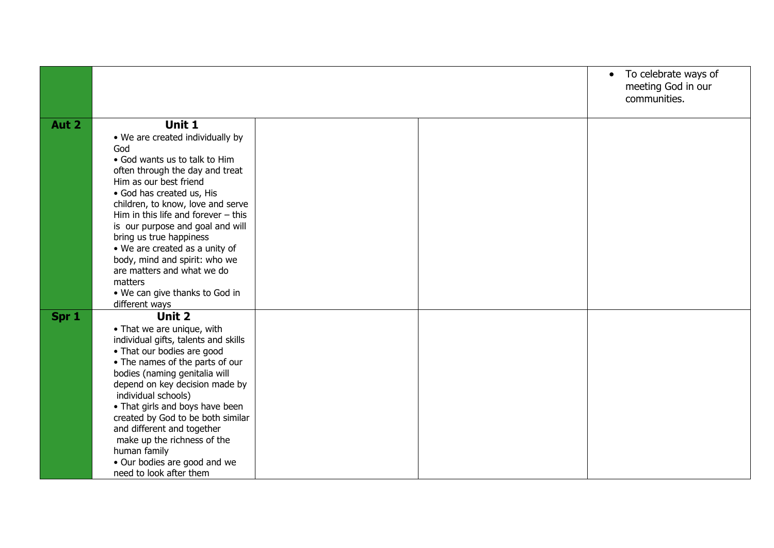|       |                                                                                                                                                                                                                                                                                                                                                                                                                                                                                           |  | • To celebrate ways of<br>meeting God in our<br>communities. |
|-------|-------------------------------------------------------------------------------------------------------------------------------------------------------------------------------------------------------------------------------------------------------------------------------------------------------------------------------------------------------------------------------------------------------------------------------------------------------------------------------------------|--|--------------------------------------------------------------|
| Aut 2 | Unit 1<br>• We are created individually by<br>God<br>• God wants us to talk to Him<br>often through the day and treat<br>Him as our best friend<br>• God has created us, His<br>children, to know, love and serve<br>Him in this life and forever $-$ this<br>is our purpose and goal and will<br>bring us true happiness<br>• We are created as a unity of<br>body, mind and spirit: who we<br>are matters and what we do<br>matters<br>• We can give thanks to God in<br>different ways |  |                                                              |
| Spr 1 | Unit 2<br>• That we are unique, with<br>individual gifts, talents and skills<br>• That our bodies are good<br>• The names of the parts of our<br>bodies (naming genitalia will<br>depend on key decision made by<br>individual schools)<br>• That girls and boys have been<br>created by God to be both similar<br>and different and together<br>make up the richness of the<br>human family<br>• Our bodies are good and we<br>need to look after them                                   |  |                                                              |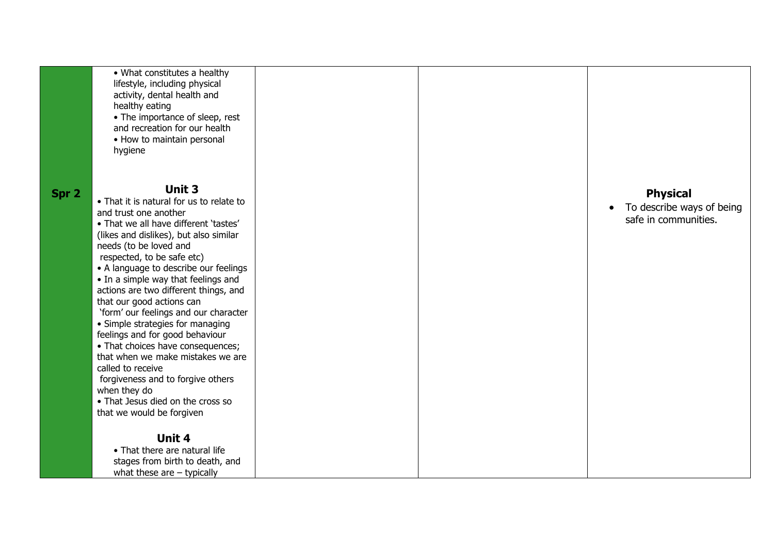|       | • What constitutes a healthy<br>lifestyle, including physical<br>activity, dental health and<br>healthy eating<br>• The importance of sleep, rest<br>and recreation for our health<br>• How to maintain personal<br>hygiene                                                                                                                                                                                                                                                                                                                                                                                                                                                                                               |  |                                                                      |
|-------|---------------------------------------------------------------------------------------------------------------------------------------------------------------------------------------------------------------------------------------------------------------------------------------------------------------------------------------------------------------------------------------------------------------------------------------------------------------------------------------------------------------------------------------------------------------------------------------------------------------------------------------------------------------------------------------------------------------------------|--|----------------------------------------------------------------------|
| Spr 2 | <b>Unit 3</b><br>• That it is natural for us to relate to<br>and trust one another<br>• That we all have different 'tastes'<br>(likes and dislikes), but also similar<br>needs (to be loved and<br>respected, to be safe etc)<br>• A language to describe our feelings<br>• In a simple way that feelings and<br>actions are two different things, and<br>that our good actions can<br>'form' our feelings and our character<br>• Simple strategies for managing<br>feelings and for good behaviour<br>• That choices have consequences;<br>that when we make mistakes we are<br>called to receive<br>forgiveness and to forgive others<br>when they do<br>• That Jesus died on the cross so<br>that we would be forgiven |  | <b>Physical</b><br>To describe ways of being<br>safe in communities. |
|       | Unit 4<br>• That there are natural life<br>stages from birth to death, and<br>what these are $-$ typically                                                                                                                                                                                                                                                                                                                                                                                                                                                                                                                                                                                                                |  |                                                                      |